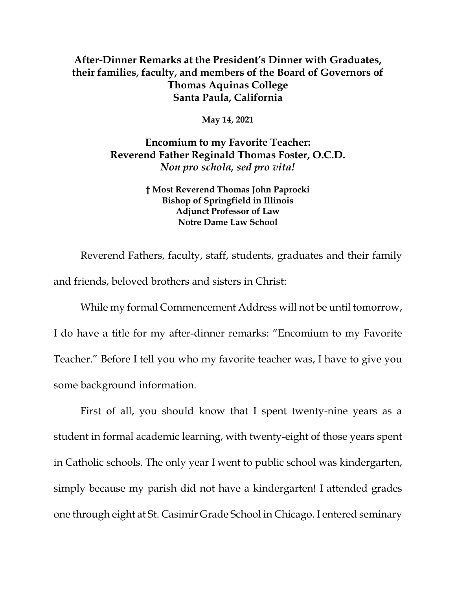## **After-Dinner Remarks at the President's Dinner with Graduates, their families, faculty, and members of the Board of Governors of Thomas Aquinas College Santa Paula, California**

**May 14, 2021**

**Encomium to my Favorite Teacher: Reverend Father Reginald Thomas Foster, O.C.D.** *Non pro schola, sed pro vita!*

> **† Most Reverend Thomas John Paprocki Bishop of Springfield in Illinois Adjunct Professor of Law Notre Dame Law School**

Reverend Fathers, faculty, staff, students, graduates and their family and friends, beloved brothers and sisters in Christ:

While my formal Commencement Address will not be until tomorrow, I do have a title for my after-dinner remarks: "Encomium to my Favorite Teacher." Before I tell you who my favorite teacher was, I have to give you some background information.

First of all, you should know that I spent twenty-nine years as a student in formal academic learning, with twenty-eight of those years spent in Catholic schools. The only year I went to public school was kindergarten, simply because my parish did not have a kindergarten! I attended grades one through eight at St. Casimir Grade School in Chicago. I entered seminary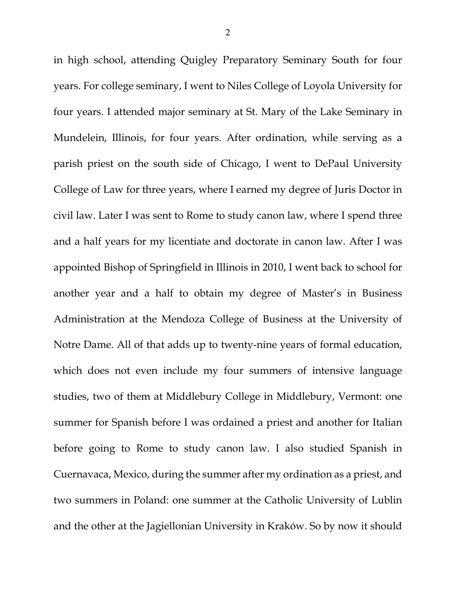in high school, attending Quigley Preparatory Seminary South for four years. For college seminary, I went to Niles College of Loyola University for four years. I attended major seminary at St. Mary of the Lake Seminary in Mundelein, Illinois, for four years. After ordination, while serving as a parish priest on the south side of Chicago, I went to DePaul University College of Law for three years, where I earned my degree of Juris Doctor in civil law. Later I was sent to Rome to study canon law, where I spend three and a half years for my licentiate and doctorate in canon law. After I was appointed Bishop of Springfield in Illinois in 2010, I went back to school for another year and a half to obtain my degree of Master's in Business Administration at the Mendoza College of Business at the University of Notre Dame. All of that adds up to twenty-nine years of formal education, which does not even include my four summers of intensive language studies, two of them at Middlebury College in Middlebury, Vermont: one summer for Spanish before I was ordained a priest and another for Italian before going to Rome to study canon law. I also studied Spanish in Cuernavaca, Mexico, during the summer after my ordination as a priest, and two summers in Poland: one summer at the Catholic University of Lublin and the other at the Jagiellonian University in Kraków. So by now it should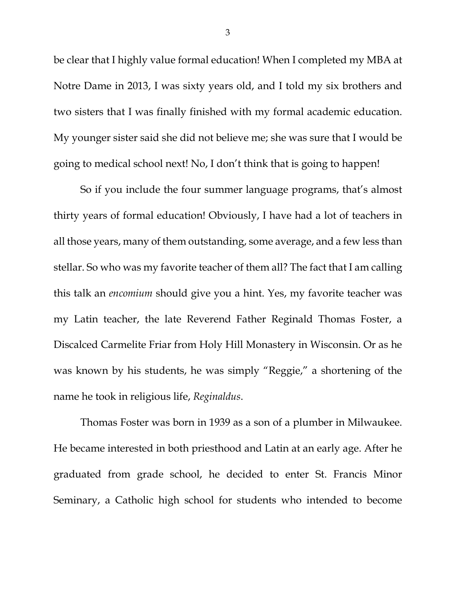be clear that I highly value formal education! When I completed my MBA at Notre Dame in 2013, I was sixty years old, and I told my six brothers and two sisters that I was finally finished with my formal academic education. My younger sister said she did not believe me; she was sure that I would be going to medical school next! No, I don't think that is going to happen!

So if you include the four summer language programs, that's almost thirty years of formal education! Obviously, I have had a lot of teachers in all those years, many of them outstanding, some average, and a few less than stellar. So who was my favorite teacher of them all? The fact that I am calling this talk an *encomium* should give you a hint. Yes, my favorite teacher was my Latin teacher, the late Reverend Father Reginald Thomas Foster, a Discalced Carmelite Friar from Holy Hill Monastery in Wisconsin. Or as he was known by his students, he was simply "Reggie," a shortening of the name he took in religious life, *Reginaldus*.

Thomas Foster was born in 1939 as a son of a plumber in Milwaukee. He became interested in both priesthood and Latin at an early age. After he graduated from grade school, he decided to enter St. Francis Minor Seminary, a Catholic high school for students who intended to become

3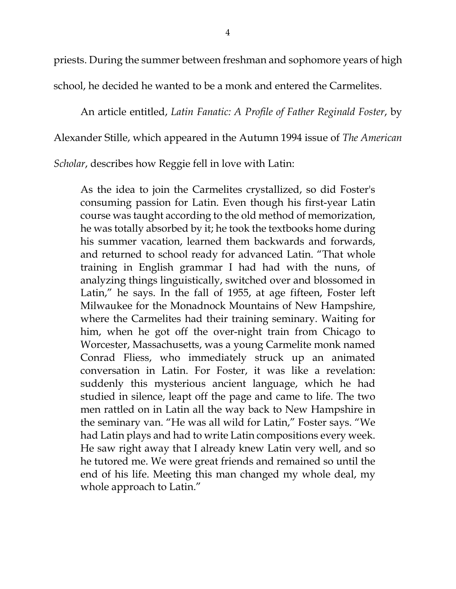priests. During the summer between freshman and sophomore years of high

school, he decided he wanted to be a monk and entered the Carmelites.

An article entitled, *Latin Fanatic: A Profile of Father Reginald Foster*, by Alexander Stille, which appeared in the Autumn 1994 issue of *The American Scholar*, describes how Reggie fell in love with Latin:

As the idea to join the Carmelites crystallized, so did Foster's consuming passion for Latin. Even though his first-year Latin course was taught according to the old method of memorization, he was totally absorbed by it; he took the textbooks home during his summer vacation, learned them backwards and forwards, and returned to school ready for advanced Latin. "That whole training in English grammar I had had with the nuns, of analyzing things linguistically, switched over and blossomed in Latin," he says. In the fall of 1955, at age fifteen, Foster left Milwaukee for the Monadnock Mountains of New Hampshire, where the Carmelites had their training seminary. Waiting for him, when he got off the over-night train from Chicago to Worcester, Massachusetts, was a young Carmelite monk named Conrad Fliess, who immediately struck up an animated conversation in Latin. For Foster, it was like a revelation: suddenly this mysterious ancient language, which he had studied in silence, leapt off the page and came to life. The two men rattled on in Latin all the way back to New Hampshire in the seminary van. "He was all wild for Latin," Foster says. "We had Latin plays and had to write Latin compositions every week. He saw right away that I already knew Latin very well, and so he tutored me. We were great friends and remained so until the end of his life. Meeting this man changed my whole deal, my whole approach to Latin."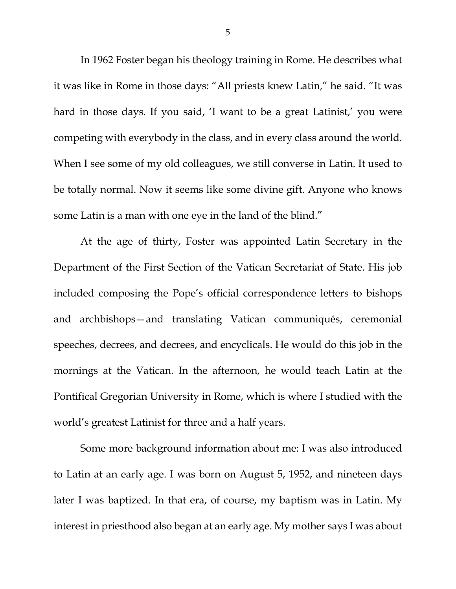In 1962 Foster began his theology training in Rome. He describes what it was like in Rome in those days: "All priests knew Latin," he said. "It was hard in those days. If you said, 'I want to be a great Latinist,' you were competing with everybody in the class, and in every class around the world. When I see some of my old colleagues, we still converse in Latin. It used to be totally normal. Now it seems like some divine gift. Anyone who knows some Latin is a man with one eye in the land of the blind."

At the age of thirty, Foster was appointed Latin Secretary in the Department of the First Section of the Vatican Secretariat of State. His job included composing the Pope's official correspondence letters to bishops and archbishops—and translating Vatican communiqués, ceremonial speeches, decrees, and decrees, and encyclicals. He would do this job in the mornings at the Vatican. In the afternoon, he would teach Latin at the Pontifical Gregorian University in Rome, which is where I studied with the world's greatest Latinist for three and a half years.

Some more background information about me: I was also introduced to Latin at an early age. I was born on August 5, 1952, and nineteen days later I was baptized. In that era, of course, my baptism was in Latin. My interest in priesthood also began at an early age. My mother says I was about

5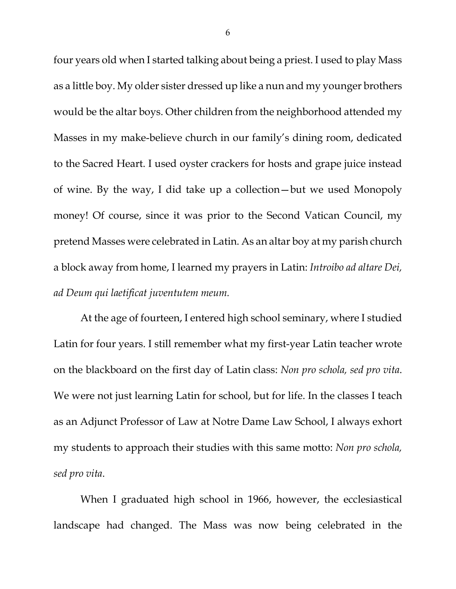four years old when I started talking about being a priest. I used to play Mass as a little boy. My older sister dressed up like a nun and my younger brothers would be the altar boys. Other children from the neighborhood attended my Masses in my make-believe church in our family's dining room, dedicated to the Sacred Heart. I used oyster crackers for hosts and grape juice instead of wine. By the way, I did take up a collection—but we used Monopoly money! Of course, since it was prior to the Second Vatican Council, my pretend Masses were celebrated in Latin. As an altar boy at my parish church a block away from home, I learned my prayers in Latin: *Introibo ad altare Dei, ad Deum qui laetificat juventutem meum.*

At the age of fourteen, I entered high school seminary, where I studied Latin for four years. I still remember what my first-year Latin teacher wrote on the blackboard on the first day of Latin class: *Non pro schola, sed pro vita*. We were not just learning Latin for school, but for life. In the classes I teach as an Adjunct Professor of Law at Notre Dame Law School, I always exhort my students to approach their studies with this same motto: *Non pro schola, sed pro vita*.

When I graduated high school in 1966, however, the ecclesiastical landscape had changed. The Mass was now being celebrated in the

6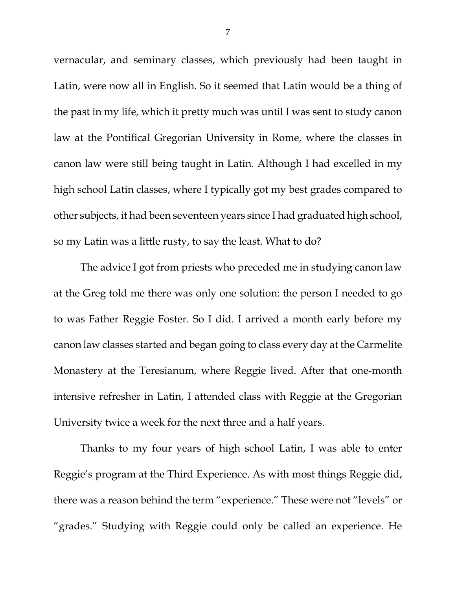vernacular, and seminary classes, which previously had been taught in Latin, were now all in English. So it seemed that Latin would be a thing of the past in my life, which it pretty much was until I was sent to study canon law at the Pontifical Gregorian University in Rome, where the classes in canon law were still being taught in Latin. Although I had excelled in my high school Latin classes, where I typically got my best grades compared to other subjects, it had been seventeen years since I had graduated high school, so my Latin was a little rusty, to say the least. What to do?

The advice I got from priests who preceded me in studying canon law at the Greg told me there was only one solution: the person I needed to go to was Father Reggie Foster. So I did. I arrived a month early before my canon law classes started and began going to class every day at the Carmelite Monastery at the Teresianum, where Reggie lived. After that one-month intensive refresher in Latin, I attended class with Reggie at the Gregorian University twice a week for the next three and a half years.

Thanks to my four years of high school Latin, I was able to enter Reggie's program at the Third Experience. As with most things Reggie did, there was a reason behind the term "experience." These were not "levels" or "grades." Studying with Reggie could only be called an experience. He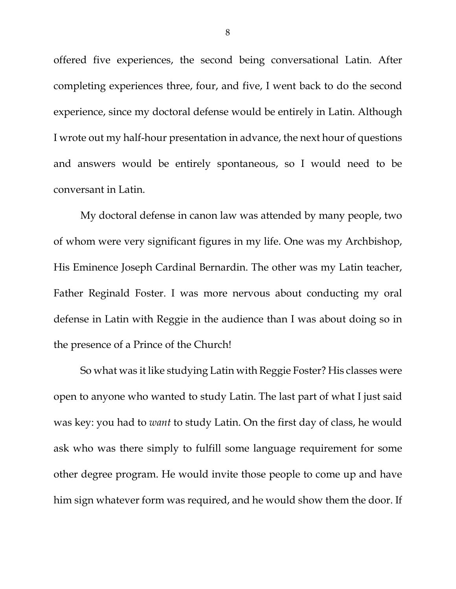offered five experiences, the second being conversational Latin. After completing experiences three, four, and five, I went back to do the second experience, since my doctoral defense would be entirely in Latin. Although I wrote out my half-hour presentation in advance, the next hour of questions and answers would be entirely spontaneous, so I would need to be conversant in Latin.

My doctoral defense in canon law was attended by many people, two of whom were very significant figures in my life. One was my Archbishop, His Eminence Joseph Cardinal Bernardin. The other was my Latin teacher, Father Reginald Foster. I was more nervous about conducting my oral defense in Latin with Reggie in the audience than I was about doing so in the presence of a Prince of the Church!

So what was it like studying Latin with Reggie Foster? His classes were open to anyone who wanted to study Latin. The last part of what I just said was key: you had to *want* to study Latin. On the first day of class, he would ask who was there simply to fulfill some language requirement for some other degree program. He would invite those people to come up and have him sign whatever form was required, and he would show them the door. If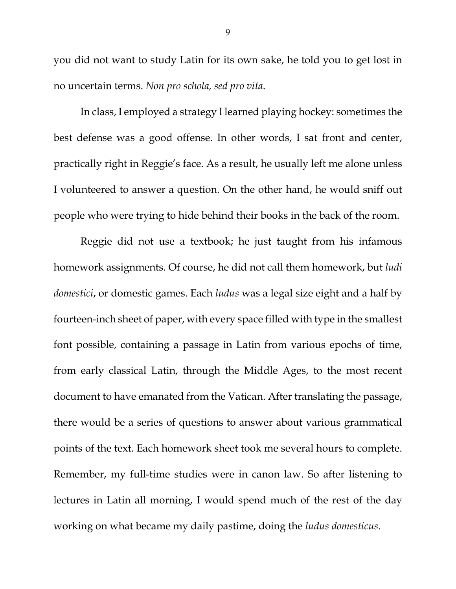you did not want to study Latin for its own sake, he told you to get lost in no uncertain terms. *Non pro schola, sed pro vita*.

In class, I employed a strategy I learned playing hockey: sometimes the best defense was a good offense. In other words, I sat front and center, practically right in Reggie's face. As a result, he usually left me alone unless I volunteered to answer a question. On the other hand, he would sniff out people who were trying to hide behind their books in the back of the room.

Reggie did not use a textbook; he just taught from his infamous homework assignments. Of course, he did not call them homework, but *ludi domestici*, or domestic games. Each *ludus* was a legal size eight and a half by fourteen-inch sheet of paper, with every space filled with type in the smallest font possible, containing a passage in Latin from various epochs of time, from early classical Latin, through the Middle Ages, to the most recent document to have emanated from the Vatican. After translating the passage, there would be a series of questions to answer about various grammatical points of the text. Each homework sheet took me several hours to complete. Remember, my full-time studies were in canon law. So after listening to lectures in Latin all morning, I would spend much of the rest of the day working on what became my daily pastime, doing the *ludus domesticus*.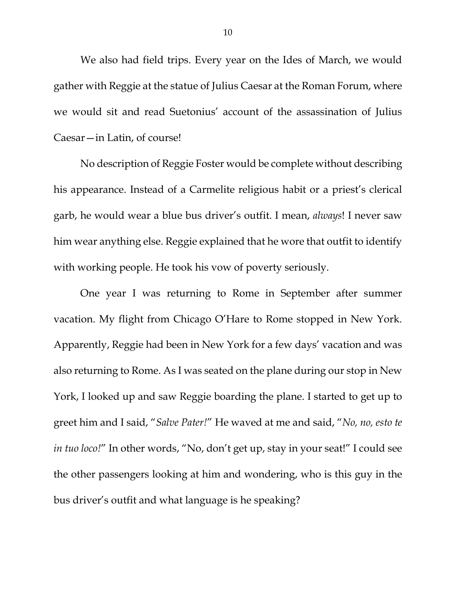We also had field trips. Every year on the Ides of March, we would gather with Reggie at the statue of Julius Caesar at the Roman Forum, where we would sit and read Suetonius' account of the assassination of Julius Caesar—in Latin, of course!

No description of Reggie Foster would be complete without describing his appearance. Instead of a Carmelite religious habit or a priest's clerical garb, he would wear a blue bus driver's outfit. I mean, *always*! I never saw him wear anything else. Reggie explained that he wore that outfit to identify with working people. He took his vow of poverty seriously.

One year I was returning to Rome in September after summer vacation. My flight from Chicago O'Hare to Rome stopped in New York. Apparently, Reggie had been in New York for a few days' vacation and was also returning to Rome. As I was seated on the plane during our stop in New York, I looked up and saw Reggie boarding the plane. I started to get up to greet him and I said, "*Salve Pater!*" He waved at me and said, "*No, no, esto te in tuo loco!*" In other words, "No, don't get up, stay in your seat!" I could see the other passengers looking at him and wondering, who is this guy in the bus driver's outfit and what language is he speaking?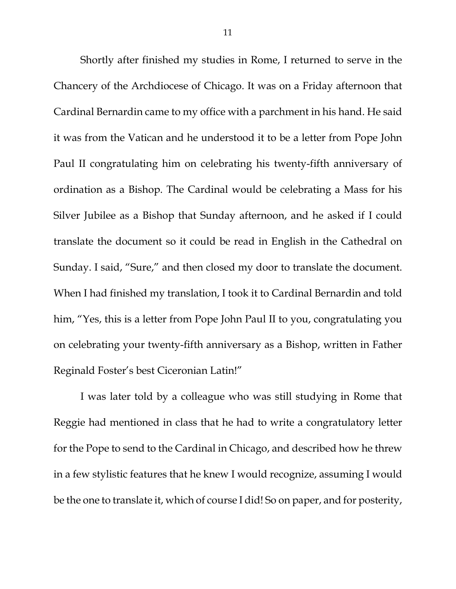Shortly after finished my studies in Rome, I returned to serve in the Chancery of the Archdiocese of Chicago. It was on a Friday afternoon that Cardinal Bernardin came to my office with a parchment in his hand. He said it was from the Vatican and he understood it to be a letter from Pope John Paul II congratulating him on celebrating his twenty-fifth anniversary of ordination as a Bishop. The Cardinal would be celebrating a Mass for his Silver Jubilee as a Bishop that Sunday afternoon, and he asked if I could translate the document so it could be read in English in the Cathedral on Sunday. I said, "Sure," and then closed my door to translate the document. When I had finished my translation, I took it to Cardinal Bernardin and told him, "Yes, this is a letter from Pope John Paul II to you, congratulating you on celebrating your twenty-fifth anniversary as a Bishop, written in Father Reginald Foster's best Ciceronian Latin!"

I was later told by a colleague who was still studying in Rome that Reggie had mentioned in class that he had to write a congratulatory letter for the Pope to send to the Cardinal in Chicago, and described how he threw in a few stylistic features that he knew I would recognize, assuming I would be the one to translate it, which of course I did! So on paper, and for posterity,